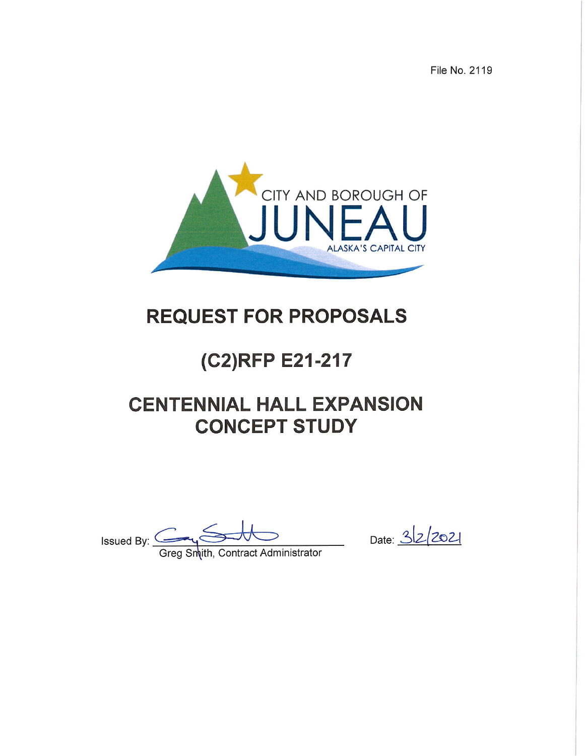File No. 2119



## **REQUEST FOR PROPOSALS**

# (C2)RFP E21-217

## **CENTENNIAL HALL EXPANSION CONCEPT STUDY**

Issued By: Carry Solution Contract Administrator

Date: 322021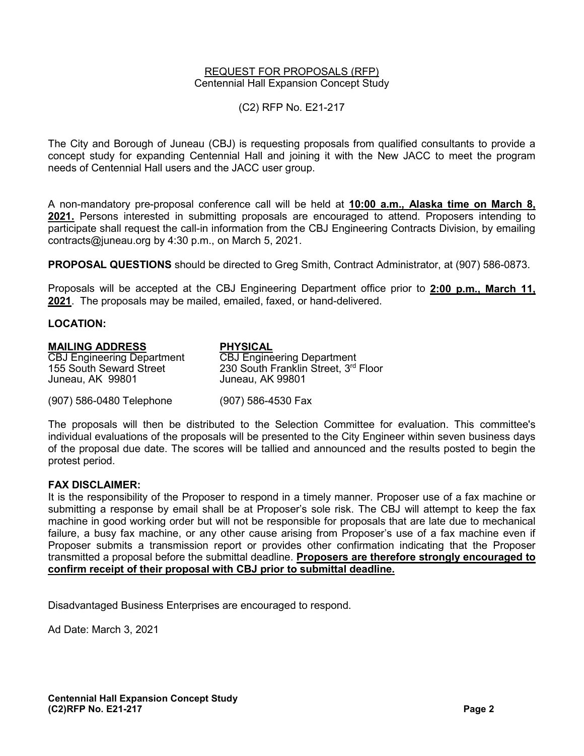#### REQUEST FOR PROPOSALS (RFP) Centennial Hall Expansion Concept Study

(C2) RFP No. E21-217

The City and Borough of Juneau (CBJ) is requesting proposals from qualified consultants to provide a concept study for expanding Centennial Hall and joining it with the New JACC to meet the program needs of Centennial Hall users and the JACC user group.

A non-mandatory pre-proposal conference call will be held at **10:00 a.m., Alaska time on March 8, 2021.** Persons interested in submitting proposals are encouraged to attend. Proposers intending to participate shall request the call-in information from the CBJ Engineering Contracts Division, by emailing contracts@juneau.org by 4:30 p.m., on March 5, 2021.

**PROPOSAL QUESTIONS** should be directed to Greg Smith, Contract Administrator, at (907) 586-0873.

Proposals will be accepted at the CBJ Engineering Department office prior to **2:00 p.m., March 11, 2021**. The proposals may be mailed, emailed, faxed, or hand-delivered.

#### **LOCATION:**

### **MAILING ADDRESS PHYSICAL**  CBJ Engineering Department<br>155 South Seward Street 230 South Franklin Street, 3<sup>rd</sup> Floor<br>Juneau, AK 99801 Juneau, AK 99801 (907) 586-0480 Telephone (907) 586-4530 Fax

The proposals will then be distributed to the Selection Committee for evaluation. This committee's individual evaluations of the proposals will be presented to the City Engineer within seven business days of the proposal due date. The scores will be tallied and announced and the results posted to begin the protest period.

#### **FAX DISCLAIMER:**

It is the responsibility of the Proposer to respond in a timely manner. Proposer use of a fax machine or submitting a response by email shall be at Proposer's sole risk. The CBJ will attempt to keep the fax machine in good working order but will not be responsible for proposals that are late due to mechanical failure, a busy fax machine, or any other cause arising from Proposer's use of a fax machine even if Proposer submits a transmission report or provides other confirmation indicating that the Proposer transmitted a proposal before the submittal deadline. **Proposers are therefore strongly encouraged to confirm receipt of their proposal with CBJ prior to submittal deadline.**

Disadvantaged Business Enterprises are encouraged to respond.

Ad Date: March 3, 2021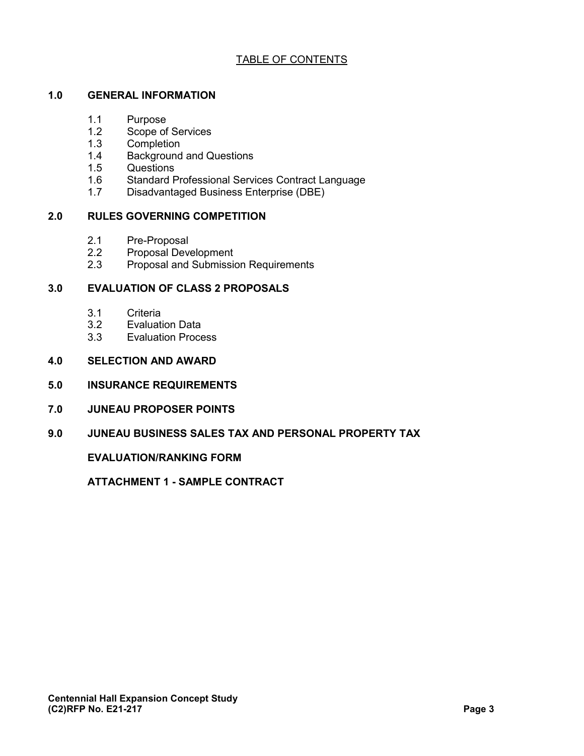#### TABLE OF CONTENTS

#### **1.0 GENERAL INFORMATION**

- 1.1 Purpose<br>1.2 Scope of
- Scope of Services
- 1.3 Completion
- 1.4 Background and Questions<br>1.5 Questions
- Questions
- 1.6 Standard Professional Services Contract Language
- 1.7 Disadvantaged Business Enterprise (DBE)

#### **2.0 RULES GOVERNING COMPETITION**

- 2.1 Pre-Proposal<br>2.2 Proposal Deve
- Proposal Development
- 2.3 Proposal and Submission Requirements

#### **3.0 EVALUATION OF CLASS 2 PROPOSALS**

- 3.1 Criteria
- 3.2 Evaluation Data<br>3.3 Evaluation Proce
- **Evaluation Process**
- **4.0 SELECTION AND AWARD**
- **5.0 INSURANCE REQUIREMENTS**
- **7.0 JUNEAU PROPOSER POINTS**
- **9.0 JUNEAU BUSINESS SALES TAX AND PERSONAL PROPERTY TAX**

**EVALUATION/RANKING FORM**

**ATTACHMENT 1 - SAMPLE CONTRACT**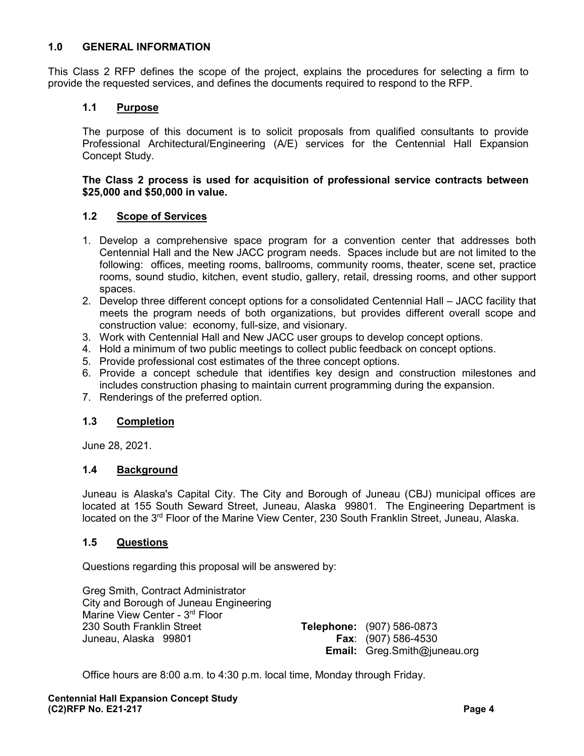#### **1.0 GENERAL INFORMATION**

This Class 2 RFP defines the scope of the project, explains the procedures for selecting a firm to provide the requested services, and defines the documents required to respond to the RFP.

#### **1.1 Purpose**

The purpose of this document is to solicit proposals from qualified consultants to provide Professional Architectural/Engineering (A/E) services for the Centennial Hall Expansion Concept Study.

#### **The Class 2 process is used for acquisition of professional service contracts between \$25,000 and \$50,000 in value.**

#### **1.2 Scope of Services**

- 1. Develop a comprehensive space program for a convention center that addresses both Centennial Hall and the New JACC program needs. Spaces include but are not limited to the following: offices, meeting rooms, ballrooms, community rooms, theater, scene set, practice rooms, sound studio, kitchen, event studio, gallery, retail, dressing rooms, and other support spaces.
- 2. Develop three different concept options for a consolidated Centennial Hall JACC facility that meets the program needs of both organizations, but provides different overall scope and construction value: economy, full-size, and visionary.
- 3. Work with Centennial Hall and New JACC user groups to develop concept options.
- 4. Hold a minimum of two public meetings to collect public feedback on concept options.
- 5. Provide professional cost estimates of the three concept options.
- 6. Provide a concept schedule that identifies key design and construction milestones and includes construction phasing to maintain current programming during the expansion.
- 7. Renderings of the preferred option.

#### **1.3 Completion**

June 28, 2021.

#### **1.4 Background**

Juneau is Alaska's Capital City. The City and Borough of Juneau (CBJ) municipal offices are located at 155 South Seward Street, Juneau, Alaska 99801. The Engineering Department is located on the 3<sup>rd</sup> Floor of the Marine View Center, 230 South Franklin Street, Juneau, Alaska.

#### **1.5 Questions**

Questions regarding this proposal will be answered by:

Greg Smith, Contract Administrator City and Borough of Juneau Engineering Marine View Center - 3<sup>rd</sup> Floor 230 South Franklin Street **Telephone:** (907) 586-0873 Juneau, Alaska 99801 **Fax**: (907) 586-4530

**Email:** Greg.Smith@juneau.org

Office hours are 8:00 a.m. to 4:30 p.m. local time, Monday through Friday.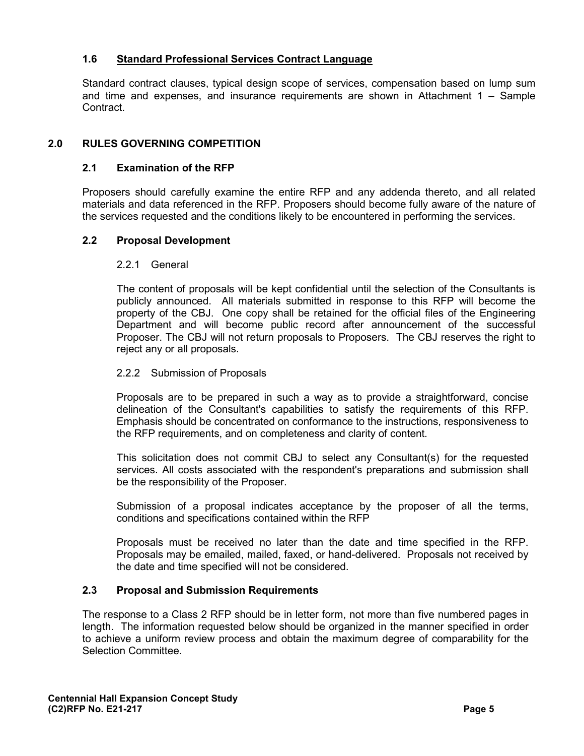#### **1.6 Standard Professional Services Contract Language**

Standard contract clauses, typical design scope of services, compensation based on lump sum and time and expenses, and insurance requirements are shown in Attachment 1 – Sample Contract.

#### **2.0 RULES GOVERNING COMPETITION**

#### **2.1 Examination of the RFP**

Proposers should carefully examine the entire RFP and any addenda thereto, and all related materials and data referenced in the RFP. Proposers should become fully aware of the nature of the services requested and the conditions likely to be encountered in performing the services.

#### **2.2 Proposal Development**

#### 2.2.1 General

The content of proposals will be kept confidential until the selection of the Consultants is publicly announced. All materials submitted in response to this RFP will become the property of the CBJ. One copy shall be retained for the official files of the Engineering Department and will become public record after announcement of the successful Proposer. The CBJ will not return proposals to Proposers. The CBJ reserves the right to reject any or all proposals.

#### 2.2.2 Submission of Proposals

Proposals are to be prepared in such a way as to provide a straightforward, concise delineation of the Consultant's capabilities to satisfy the requirements of this RFP. Emphasis should be concentrated on conformance to the instructions, responsiveness to the RFP requirements, and on completeness and clarity of content.

This solicitation does not commit CBJ to select any Consultant(s) for the requested services. All costs associated with the respondent's preparations and submission shall be the responsibility of the Proposer.

Submission of a proposal indicates acceptance by the proposer of all the terms, conditions and specifications contained within the RFP

Proposals must be received no later than the date and time specified in the RFP. Proposals may be emailed, mailed, faxed, or hand-delivered. Proposals not received by the date and time specified will not be considered.

#### **2.3 Proposal and Submission Requirements**

The response to a Class 2 RFP should be in letter form, not more than five numbered pages in length. The information requested below should be organized in the manner specified in order to achieve a uniform review process and obtain the maximum degree of comparability for the Selection Committee.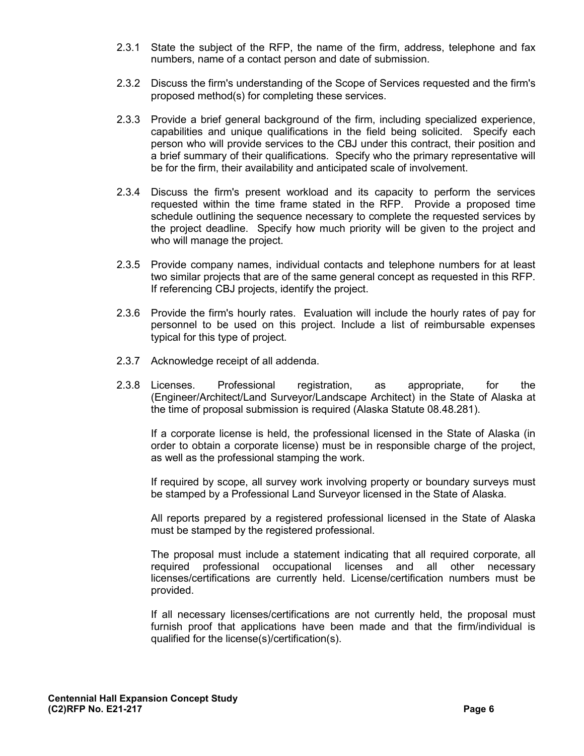- 2.3.1 State the subject of the RFP, the name of the firm, address, telephone and fax numbers, name of a contact person and date of submission.
- 2.3.2 Discuss the firm's understanding of the Scope of Services requested and the firm's proposed method(s) for completing these services.
- 2.3.3 Provide a brief general background of the firm, including specialized experience, capabilities and unique qualifications in the field being solicited. Specify each person who will provide services to the CBJ under this contract, their position and a brief summary of their qualifications. Specify who the primary representative will be for the firm, their availability and anticipated scale of involvement.
- 2.3.4 Discuss the firm's present workload and its capacity to perform the services requested within the time frame stated in the RFP. Provide a proposed time schedule outlining the sequence necessary to complete the requested services by the project deadline. Specify how much priority will be given to the project and who will manage the project.
- 2.3.5 Provide company names, individual contacts and telephone numbers for at least two similar projects that are of the same general concept as requested in this RFP. If referencing CBJ projects, identify the project.
- 2.3.6 Provide the firm's hourly rates. Evaluation will include the hourly rates of pay for personnel to be used on this project. Include a list of reimbursable expenses typical for this type of project.
- 2.3.7 Acknowledge receipt of all addenda.
- 2.3.8 Licenses. Professional registration, as appropriate, for the (Engineer/Architect/Land Surveyor/Landscape Architect) in the State of Alaska at the time of proposal submission is required (Alaska Statute 08.48.281).

If a corporate license is held, the professional licensed in the State of Alaska (in order to obtain a corporate license) must be in responsible charge of the project, as well as the professional stamping the work.

If required by scope, all survey work involving property or boundary surveys must be stamped by a Professional Land Surveyor licensed in the State of Alaska.

All reports prepared by a registered professional licensed in the State of Alaska must be stamped by the registered professional.

The proposal must include a statement indicating that all required corporate, all required professional occupational licenses and all other necessary licenses/certifications are currently held. License/certification numbers must be provided.

If all necessary licenses/certifications are not currently held, the proposal must furnish proof that applications have been made and that the firm/individual is qualified for the license(s)/certification(s).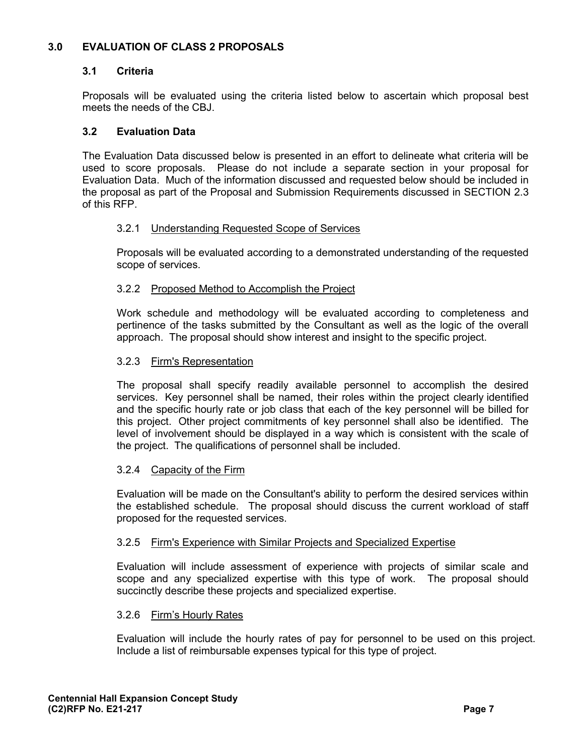#### **3.0 EVALUATION OF CLASS 2 PROPOSALS**

#### **3.1 Criteria**

Proposals will be evaluated using the criteria listed below to ascertain which proposal best meets the needs of the CBJ.

#### **3.2 Evaluation Data**

The Evaluation Data discussed below is presented in an effort to delineate what criteria will be used to score proposals. Please do not include a separate section in your proposal for Evaluation Data. Much of the information discussed and requested below should be included in the proposal as part of the Proposal and Submission Requirements discussed in SECTION 2.3 of this RFP.

#### 3.2.1 Understanding Requested Scope of Services

Proposals will be evaluated according to a demonstrated understanding of the requested scope of services.

#### 3.2.2 Proposed Method to Accomplish the Project

Work schedule and methodology will be evaluated according to completeness and pertinence of the tasks submitted by the Consultant as well as the logic of the overall approach. The proposal should show interest and insight to the specific project.

#### 3.2.3 Firm's Representation

The proposal shall specify readily available personnel to accomplish the desired services. Key personnel shall be named, their roles within the project clearly identified and the specific hourly rate or job class that each of the key personnel will be billed for this project. Other project commitments of key personnel shall also be identified. The level of involvement should be displayed in a way which is consistent with the scale of the project. The qualifications of personnel shall be included.

#### 3.2.4 Capacity of the Firm

Evaluation will be made on the Consultant's ability to perform the desired services within the established schedule. The proposal should discuss the current workload of staff proposed for the requested services.

#### 3.2.5 Firm's Experience with Similar Projects and Specialized Expertise

Evaluation will include assessment of experience with projects of similar scale and scope and any specialized expertise with this type of work. The proposal should succinctly describe these projects and specialized expertise.

#### 3.2.6 Firm's Hourly Rates

Evaluation will include the hourly rates of pay for personnel to be used on this project. Include a list of reimbursable expenses typical for this type of project.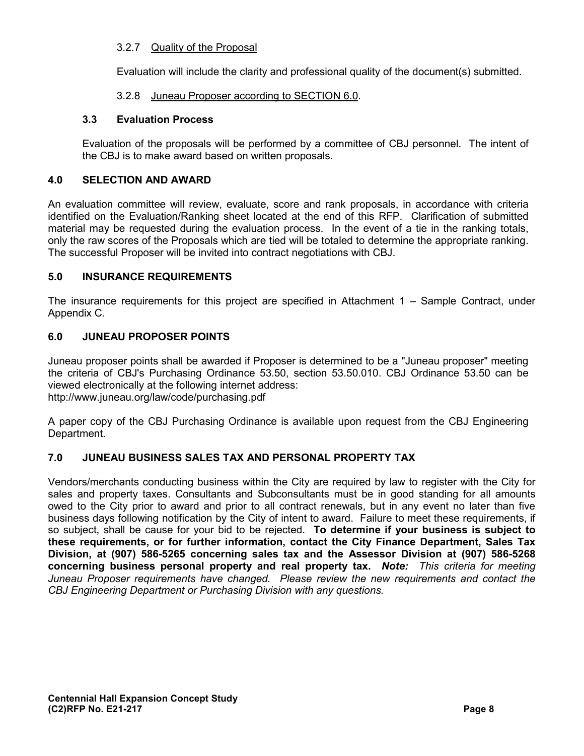#### 3.2.7 Quality of the Proposal

Evaluation will include the clarity and professional quality of the document(s) submitted.

#### 3.2.8 Juneau Proposer according to SECTION 6.0.

#### **3.3 Evaluation Process**

Evaluation of the proposals will be performed by a committee of CBJ personnel. The intent of the CBJ is to make award based on written proposals.

#### **4.0 SELECTION AND AWARD**

An evaluation committee will review, evaluate, score and rank proposals, in accordance with criteria identified on the Evaluation/Ranking sheet located at the end of this RFP. Clarification of submitted material may be requested during the evaluation process. In the event of a tie in the ranking totals, only the raw scores of the Proposals which are tied will be totaled to determine the appropriate ranking. The successful Proposer will be invited into contract negotiations with CBJ.

#### **5.0 INSURANCE REQUIREMENTS**

The insurance requirements for this project are specified in Attachment 1 – Sample Contract, under Appendix C.

#### **6.0 JUNEAU PROPOSER POINTS**

Juneau proposer points shall be awarded if Proposer is determined to be a "Juneau proposer" meeting the criteria of CBJ's Purchasing Ordinance 53.50, section 53.50.010. CBJ Ordinance 53.50 can be viewed electronically at the following internet address: http://www.juneau.org/law/code/purchasing.pdf

A paper copy of the CBJ Purchasing Ordinance is available upon request from the CBJ Engineering Department.

#### **7.0 JUNEAU BUSINESS SALES TAX AND PERSONAL PROPERTY TAX**

Vendors/merchants conducting business within the City are required by law to register with the City for sales and property taxes. Consultants and Subconsultants must be in good standing for all amounts owed to the City prior to award and prior to all contract renewals, but in any event no later than five business days following notification by the City of intent to award. Failure to meet these requirements, if so subject, shall be cause for your bid to be rejected. **To determine if your business is subject to these requirements, or for further information, contact the City Finance Department, Sales Tax Division, at (907) 586-5265 concerning sales tax and the Assessor Division at (907) 586-5268 concerning business personal property and real property tax.** *Note: This criteria for meeting Juneau Proposer requirements have changed. Please review the new requirements and contact the CBJ Engineering Department or Purchasing Division with any questions.*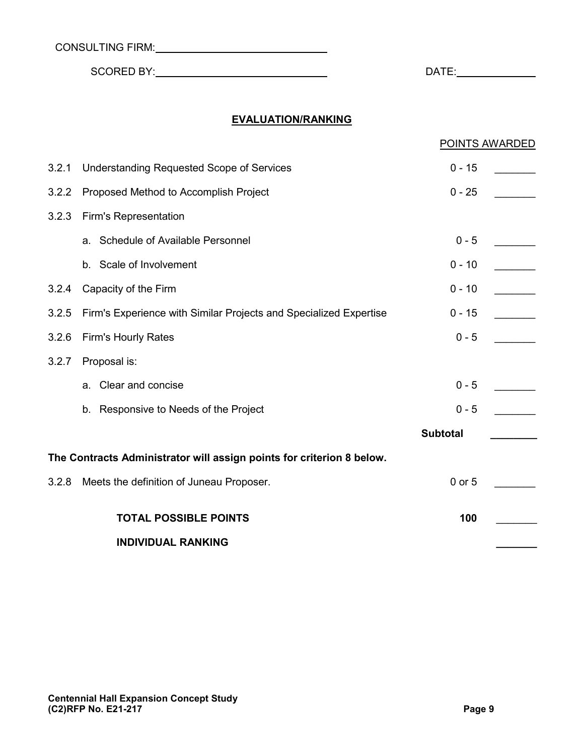| <b>CONSULTING FIRM:</b> |  |
|-------------------------|--|
|-------------------------|--|

SCORED BY: DATE:

#### **EVALUATION/RANKING**

|                                                                       |                                                                   | POINTS AWARDED  |  |
|-----------------------------------------------------------------------|-------------------------------------------------------------------|-----------------|--|
| 3.2.1                                                                 | <b>Understanding Requested Scope of Services</b>                  | $0 - 15$        |  |
| 3.2.2                                                                 | Proposed Method to Accomplish Project                             | $0 - 25$        |  |
| 3.2.3                                                                 | <b>Firm's Representation</b>                                      |                 |  |
|                                                                       | a. Schedule of Available Personnel                                | $0 - 5$         |  |
|                                                                       | b. Scale of Involvement                                           | $0 - 10$        |  |
| 3.2.4                                                                 | Capacity of the Firm                                              | $0 - 10$        |  |
| 3.2.5                                                                 | Firm's Experience with Similar Projects and Specialized Expertise | $0 - 15$        |  |
| 3.2.6                                                                 | <b>Firm's Hourly Rates</b>                                        | $0 - 5$         |  |
| 3.2.7                                                                 | Proposal is:                                                      |                 |  |
|                                                                       | a. Clear and concise                                              | $0 - 5$         |  |
|                                                                       | b. Responsive to Needs of the Project                             | $0 - 5$         |  |
|                                                                       |                                                                   | <b>Subtotal</b> |  |
| The Contracts Administrator will assign points for criterion 8 below. |                                                                   |                 |  |
| 3.2.8                                                                 | Meets the definition of Juneau Proposer.                          | 0 or 5          |  |
|                                                                       |                                                                   |                 |  |
|                                                                       | <b>TOTAL POSSIBLE POINTS</b>                                      | 100             |  |
|                                                                       | <b>INDIVIDUAL RANKING</b>                                         |                 |  |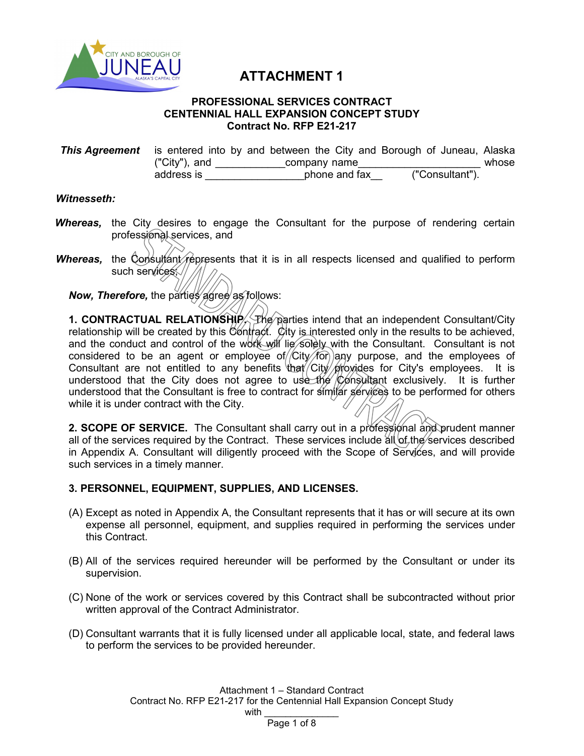

### **ATTACHMENT 1**

#### **PROFESSIONAL SERVICES CONTRACT CENTENNIAL HALL EXPANSION CONCEPT STUDY Contract No. RFP E21-217**

**This Agreement** is entered into by and between the City and Borough of Juneau, Alaska<br>
("City"), and company name ("City"), and  $\frac{\cdot}{\cdot}$  company name  $\frac{\cdot}{\cdot}$  ("Consultant"). address is  $\qquad \qquad$  phone and fax

#### *Witnesseth:*

- **Whereas,** the City desires to engage the Consultant for the purpose of rendering certain professional services, and
- *Whereas,* the Consultant represents that it is in all respects licensed and qualified to perform such services //

*Now, Therefore, the parties agree as follows:* 

**1. CONTRACTUAL RELATIONSHIP.** The parties intend that an independent Consultant/City relationship will be created by this Contract. City is interested only in the results to be achieved, and the conduct and control of the work will lie solely with the Consultant. Consultant is not considered to be an agent or employee of  $/$ City $/$  for any purpose, and the employees of Consultant are not entitled to any benefits that City provides for City's employees. It is understood that the City does not agree to use the Consultant exclusively. It is further understood that the Consultant is free to contract for similar services to be performed for others while it is under contract with the City.

2. SCOPE OF SERVICE. The Consultant shall carry out in a professional and prudent manner all of the services required by the Contract. These services include  $\frac{d}{dt}$  of the services described in Appendix A. Consultant will diligently proceed with the Scope of Services, and will provide such services in a timely manner.

#### **3. PERSONNEL, EQUIPMENT, SUPPLIES, AND LICENSES.**

- (A) Except as noted in Appendix A, the Consultant represents that it has or will secure at its own expense all personnel, equipment, and supplies required in performing the services under this Contract.
- (B) All of the services required hereunder will be performed by the Consultant or under its supervision.
- (C) None of the work or services covered by this Contract shall be subcontracted without prior written approval of the Contract Administrator.
- (D) Consultant warrants that it is fully licensed under all applicable local, state, and federal laws to perform the services to be provided hereunder.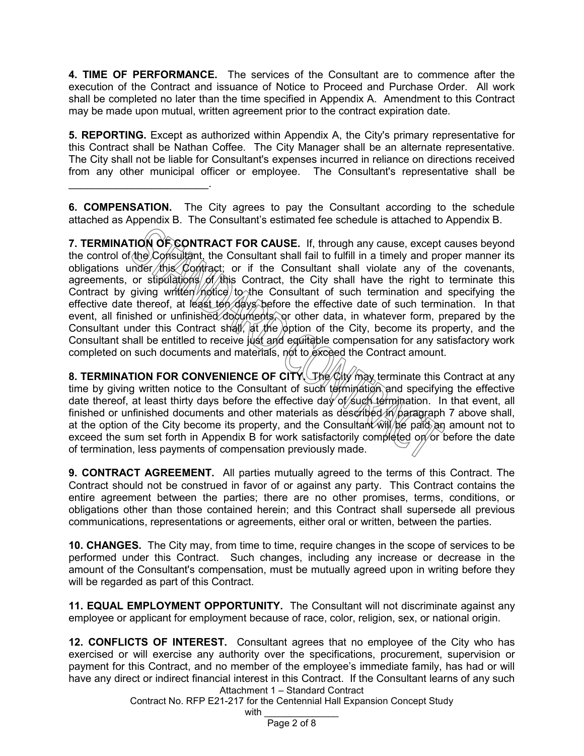**4. TIME OF PERFORMANCE.** The services of the Consultant are to commence after the execution of the Contract and issuance of Notice to Proceed and Purchase Order. All work shall be completed no later than the time specified in Appendix A. Amendment to this Contract may be made upon mutual, written agreement prior to the contract expiration date.

**5. REPORTING.** Except as authorized within Appendix A, the City's primary representative for this Contract shall be Nathan Coffee. The City Manager shall be an alternate representative. The City shall not be liable for Consultant's expenses incurred in reliance on directions received from any other municipal officer or employee. The Consultant's representative shall be

**6. COMPENSATION.** The City agrees to pay the Consultant according to the schedule attached as Appendix B. The Consultant's estimated fee schedule is attached to Appendix B.

\_\_\_\_\_\_\_\_\_\_\_\_\_\_\_\_\_\_\_\_\_\_\_\_.

**7. TERMINATION OF CONTRACT FOR CAUSE.** If, through any cause, except causes beyond the control of the Consultant, the Consultant shall fail to fulfill in a timely and proper manner its obligations under this Contract; or if the Consultant shall violate any of the covenants, agreements, or stipulations of this Contract, the City shall have the right to terminate this Contract by giving written  $m$  to the Consultant of such termination and specifying the effective date thereof, at least ten days before the effective date of such termination. In that event, all finished or unfinished documents, or other data, in whatever form, prepared by the Consultant under this Contract shall,  $\frac{1}{2}$  the  $\frac{1}{2}$  option of the City, become its property, and the Consultant shall be entitled to receive just and equitable compensation for any satisfactory work completed on such documents and materials, not to exceed the Contract amount.

**8. TERMINATION FOR CONVENIENCE OF CITY.** The City may terminate this Contract at any time by giving written notice to the Consultant of such termination and specifying the effective date thereof, at least thirty days before the effective day of such termination. In that event, all finished or unfinished documents and other materials as described in paragraph 7 above shall, at the option of the City become its property, and the Consultant  $\hat{w}$   $\hat{w}$   $\hat{p}$   $\hat{p}$  an amount not to exceed the sum set forth in Appendix B for work satisfactorily completed on or before the date of termination, less payments of compensation previously made.

**9. CONTRACT AGREEMENT.** All parties mutually agreed to the terms of this Contract. The Contract should not be construed in favor of or against any party. This Contract contains the entire agreement between the parties; there are no other promises, terms, conditions, or obligations other than those contained herein; and this Contract shall supersede all previous communications, representations or agreements, either oral or written, between the parties.

**10. CHANGES.** The City may, from time to time, require changes in the scope of services to be performed under this Contract. Such changes, including any increase or decrease in the amount of the Consultant's compensation, must be mutually agreed upon in writing before they will be regarded as part of this Contract.

**11. EQUAL EMPLOYMENT OPPORTUNITY.** The Consultant will not discriminate against any employee or applicant for employment because of race, color, religion, sex, or national origin.

Attachment 1 – Standard Contract **12. CONFLICTS OF INTEREST.** Consultant agrees that no employee of the City who has exercised or will exercise any authority over the specifications, procurement, supervision or payment for this Contract, and no member of the employee's immediate family, has had or will have any direct or indirect financial interest in this Contract. If the Consultant learns of any such

Contract No. RFP E21-217 for the Centennial Hall Expansion Concept Study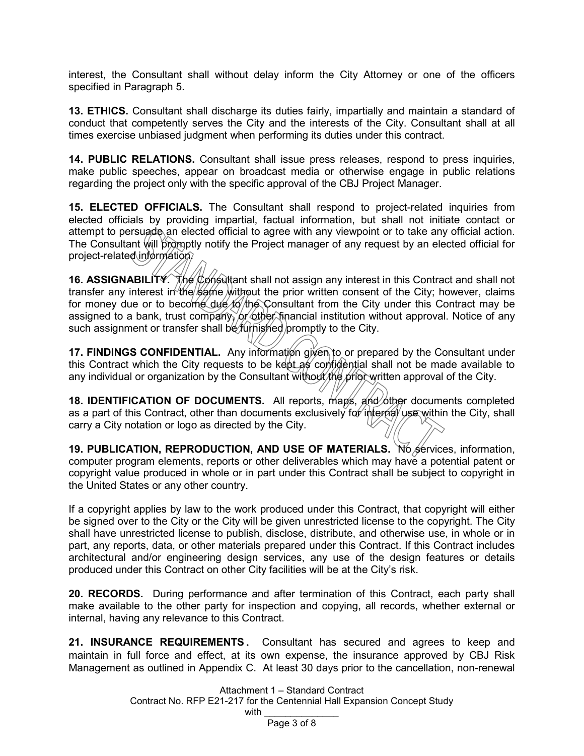interest, the Consultant shall without delay inform the City Attorney or one of the officers specified in Paragraph 5.

**13. ETHICS.** Consultant shall discharge its duties fairly, impartially and maintain a standard of conduct that competently serves the City and the interests of the City. Consultant shall at all times exercise unbiased judgment when performing its duties under this contract.

**14. PUBLIC RELATIONS.** Consultant shall issue press releases, respond to press inquiries, make public speeches, appear on broadcast media or otherwise engage in public relations regarding the project only with the specific approval of the CBJ Project Manager.

**15. ELECTED OFFICIALS.** The Consultant shall respond to project-related inquiries from elected officials by providing impartial, factual information, but shall not initiate contact or attempt to persuade an elected official to agree with any viewpoint or to take any official action. The Consultant will promptly notify the Project manager of any request by an elected official for project-related information.

**16. ASSIGNABILITY.** The Consultant shall not assign any interest in this Contract and shall not transfer any interest in the same without the prior written consent of the City; however, claims for money due or to become due to the Consultant from the City under this Contract may be assigned to a bank, trust company, or other financial institution without approval. Notice of any such assignment or transfer shall be *furnished* promptly to the City.

**17. FINDINGS CONFIDENTIAL.** Any information given to or prepared by the Consultant under this Contract which the City requests to be kept as confidential shall not be made available to any individual or organization by the Consultant without the prior written approval of the City.

**18. IDENTIFICATION OF DOCUMENTS.** All reports, maps, and other documents completed as a part of this Contract, other than documents exclusively for internal use within the City, shall carry a City notation or logo as directed by the City.

**19. PUBLICATION, REPRODUCTION, AND USE OF MATERIALS.** No services, information, computer program elements, reports or other deliverables which may have a potential patent or copyright value produced in whole or in part under this Contract shall be subject to copyright in the United States or any other country.

If a copyright applies by law to the work produced under this Contract, that copyright will either be signed over to the City or the City will be given unrestricted license to the copyright. The City shall have unrestricted license to publish, disclose, distribute, and otherwise use, in whole or in part, any reports, data, or other materials prepared under this Contract. If this Contract includes architectural and/or engineering design services, any use of the design features or details produced under this Contract on other City facilities will be at the City's risk.

**20. RECORDS.** During performance and after termination of this Contract, each party shall make available to the other party for inspection and copying, all records, whether external or internal, having any relevance to this Contract.

**21. INSURANCE REQUIREMENTS.** Consultant has secured and agrees to keep and maintain in full force and effect, at its own expense, the insurance approved by CBJ Risk Management as outlined in Appendix C. At least 30 days prior to the cancellation, non-renewal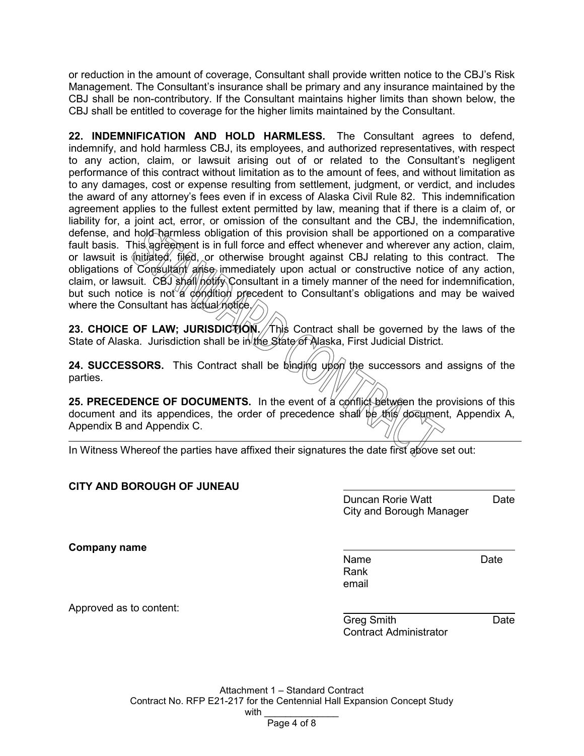or reduction in the amount of coverage, Consultant shall provide written notice to the CBJ's Risk Management. The Consultant's insurance shall be primary and any insurance maintained by the CBJ shall be non-contributory. If the Consultant maintains higher limits than shown below, the CBJ shall be entitled to coverage for the higher limits maintained by the Consultant.

**22. INDEMNIFICATION AND HOLD HARMLESS.** The Consultant agrees to defend, indemnify, and hold harmless CBJ, its employees, and authorized representatives, with respect to any action, claim, or lawsuit arising out of or related to the Consultant's negligent performance of this contract without limitation as to the amount of fees, and without limitation as to any damages, cost or expense resulting from settlement, judgment, or verdict, and includes the award of any attorney's fees even if in excess of Alaska Civil Rule 82. This indemnification agreement applies to the fullest extent permitted by law, meaning that if there is a claim of, or liability for, a joint act, error, or omission of the consultant and the CBJ, the indemnification, defense, and hold harmless obligation of this provision shall be apportioned on a comparative fault basis. This agreement is in full force and effect whenever and wherever any action, claim, or lawsuit is  $\oint$ nitiated, filed, or otherwise brought against CBJ relating to this contract. The obligations of Consultant arise immediately upon actual or constructive notice of any action, claim, or lawsuit. CBJ shall notify Consultant in a timely manner of the need for indemnification, but such notice is not a condition precedent to Consultant's obligations and may be waived where the Consultant has actual notice.

**23. CHOICE OF LAW; JURISDICTION. This Contract shall be governed by the laws of the** State of Alaska. Jurisdiction shall be in the State of Alaska, First Judicial District.

**24. SUCCESSORS.** This Contract shall be binding upon the successors and assigns of the parties.

**25. PRECEDENCE OF DOCUMENTS.** In the event of a conflict between the provisions of this document and its appendices, the order of precedence shall be this document, Appendix A, Appendix B and Appendix C.

In Witness Whereof the parties have affixed their signatures the date first above set out:

#### **CITY AND BOROUGH OF JUNEAU**

Duncan Rorie Watt **Date** City and Borough Manager

**Company name**

Name Date Rank email

Approved as to content:

Greg Smith **Date** Contract Administrator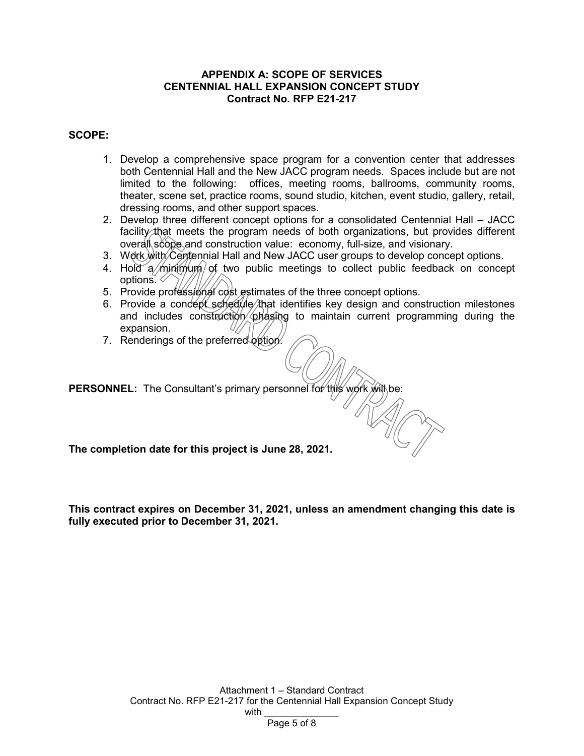#### **APPENDIX A: SCOPE OF SERVICES CENTENNIAL HALL EXPANSION CONCEPT STUDY Contract No. RFP E21-217**

#### **SCOPE:**

- 1. Develop a comprehensive space program for a convention center that addresses both Centennial Hall and the New JACC program needs. Spaces include but are not limited to the following: offices, meeting rooms, ballrooms, community rooms, theater, scene set, practice rooms, sound studio, kitchen, event studio, gallery, retail, dressing rooms, and other support spaces.
- 2. Develop three different concept options for a consolidated Centennial Hall JACC facility that meets the program needs of both organizations, but provides different overall scope and construction value: economy, full-size, and visionary.
- 3. Work with Centennial Hall and New JACC user groups to develop concept options.
- 4. Hold a minimum of two public meetings to collect public feedback on concept options.  $\leq$
- 5. Provide professional cost estimates of the three concept options.
- 6. Provide a concept schedule that identifies key design and construction milestones and includes construction phasing to maintain current programming during the expansion.
- 7. Renderings of the preferred option.

PERSONNEL: The Consultant's primary personnel for this work will be:

**The completion date for this project is June 28, 2021.**

**This contract expires on December 31, 2021, unless an amendment changing this date is fully executed prior to December 31, 2021.**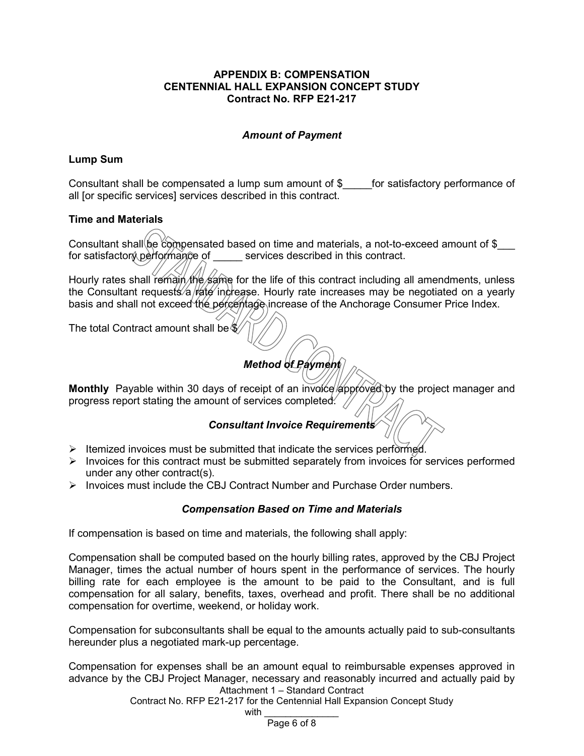#### **APPENDIX B: COMPENSATION CENTENNIAL HALL EXPANSION CONCEPT STUDY Contract No. RFP E21-217**

#### *Amount of Payment*

#### **Lump Sum**

Consultant shall be compensated a lump sum amount of \$\_\_\_\_\_for satisfactory performance of all [or specific services] services described in this contract.

#### **Time and Materials**

Consultant shall be compensated based on time and materials, a not-to-exceed amount of \$ for satisfactory performance of services described in this contract.

Hourly rates shall remain the same for the life of this contract including all amendments, unless the Consultant requests/a  $\frac{1}{4}$  increase. Hourly rate increases may be negotiated on a yearly basis and shall not exceed the percentage increase of the Anchorage Consumer Price Index.

The total Contract amount shall be  $\%$ 

### *Method of Payment*

Monthly Payable within 30 days of receipt of an invoice approved by the project manager and progress report stating the amount of services completed.  $\sqrt{ }$ 

#### *Consultant Invoice Requirements*

- $\triangleright$  Itemized invoices must be submitted that indicate the services performed.
- $\triangleright$  Invoices for this contract must be submitted separately from invoices for services performed under any other contract(s).
- $\triangleright$  Invoices must include the CBJ Contract Number and Purchase Order numbers.

#### *Compensation Based on Time and Materials*

If compensation is based on time and materials, the following shall apply:

Compensation shall be computed based on the hourly billing rates, approved by the CBJ Project Manager, times the actual number of hours spent in the performance of services. The hourly billing rate for each employee is the amount to be paid to the Consultant, and is full compensation for all salary, benefits, taxes, overhead and profit. There shall be no additional compensation for overtime, weekend, or holiday work.

Compensation for subconsultants shall be equal to the amounts actually paid to sub-consultants hereunder plus a negotiated mark-up percentage.

Attachment 1 – Standard Contract Compensation for expenses shall be an amount equal to reimbursable expenses approved in advance by the CBJ Project Manager, necessary and reasonably incurred and actually paid by

Contract No. RFP E21-217 for the Centennial Hall Expansion Concept Study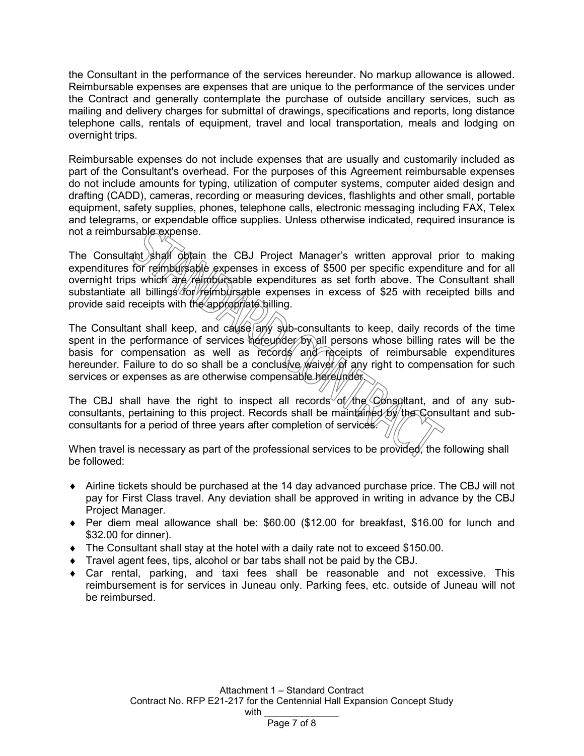the Consultant in the performance of the services hereunder. No markup allowance is allowed. Reimbursable expenses are expenses that are unique to the performance of the services under the Contract and generally contemplate the purchase of outside ancillary services, such as mailing and delivery charges for submittal of drawings, specifications and reports, long distance telephone calls, rentals of equipment, travel and local transportation, meals and lodging on overnight trips.

Reimbursable expenses do not include expenses that are usually and customarily included as part of the Consultant's overhead. For the purposes of this Agreement reimbursable expenses do not include amounts for typing, utilization of computer systems, computer aided design and drafting (CADD), cameras, recording or measuring devices, flashlights and other small, portable equipment, safety supplies, phones, telephone calls, electronic messaging including FAX, Telex and telegrams, or expendable office supplies. Unless otherwise indicated, required insurance is not a reimbursable expense.

The Consultant shall obtain the CBJ Project Manager's written approval prior to making expenditures for reimbursable expenses in excess of \$500 per specific expenditure and for all overnight trips which are reimbursable expenditures as set forth above. The Consultant shall substantiate all billings for reimbursable expenses in excess of \$25 with receipted bills and provide said receipts with the appropriate billing.

The Consultant shall keep, and cause any sub-consultants to keep, daily records of the time spent in the performance of services hereunder by all persons whose billing rates will be the basis for compensation as well as records and receipts of reimbursable expenditures hereunder. Failure to do so shall be a conclusive *waiver* of any right to compensation for such services or expenses as are otherwise compensable hereunder.

The CBJ shall have the right to inspect all records of the Consultant, and of any subconsultants, pertaining to this project. Records shall be maintained by the Consultant and subconsultants for a period of three years after completion of services.

When travel is necessary as part of the professional services to be provided, the following shall be followed:

- ♦ Airline tickets should be purchased at the 14 day advanced purchase price. The CBJ will not pay for First Class travel. Any deviation shall be approved in writing in advance by the CBJ Project Manager.
- ♦ Per diem meal allowance shall be: \$60.00 (\$12.00 for breakfast, \$16.00 for lunch and \$32.00 for dinner).
- $\bullet$  The Consultant shall stay at the hotel with a daily rate not to exceed \$150.00.
- ♦ Travel agent fees, tips, alcohol or bar tabs shall not be paid by the CBJ.
- $\bullet$  Car rental, parking, and taxi fees shall be reasonable and not excessive. This reimbursement is for services in Juneau only. Parking fees, etc. outside of Juneau will not be reimbursed.